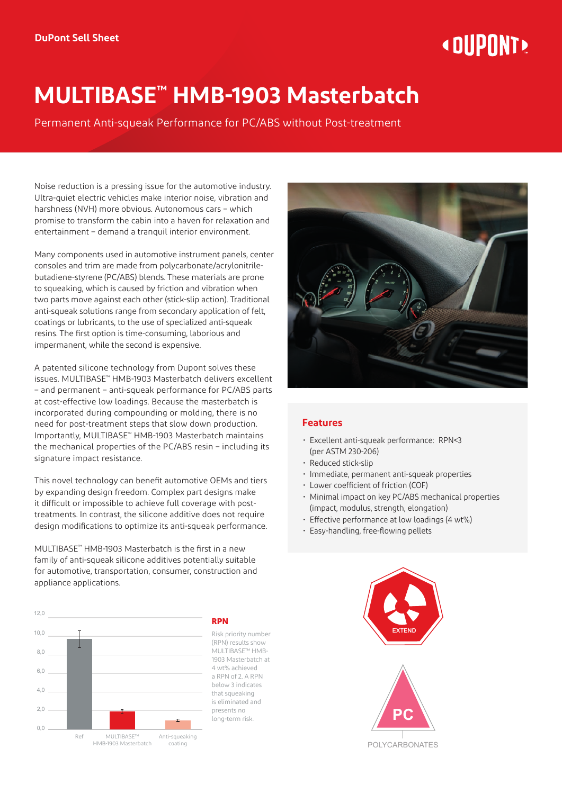# « DIIPNNT»

# **MULTIBASE™ HMB-1903 Masterbatch**

Permanent Anti-squeak Performance for PC/ABS without Post-treatment

Noise reduction is a pressing issue for the automotive industry. Ultra-quiet electric vehicles make interior noise, vibration and harshness (NVH) more obvious. Autonomous cars – which promise to transform the cabin into a haven for relaxation and entertainment – demand a tranquil interior environment.

Many components used in automotive instrument panels, center consoles and trim are made from polycarbonate/acrylonitrilebutadiene-styrene (PC/ABS) blends. These materials are prone to squeaking, which is caused by friction and vibration when two parts move against each other (stick-slip action). Traditional anti-squeak solutions range from secondary application of felt, coatings or lubricants, to the use of specialized anti-squeak resins. The first option is time-consuming, laborious and impermanent, while the second is expensive.

A patented silicone technology from Dupont solves these issues. MULTIBASE™ HMB-1903 Masterbatch delivers excellent – and permanent – anti-squeak performance for PC/ABS parts at cost-effective low loadings. Because the masterbatch is incorporated during compounding or molding, there is no need for post-treatment steps that slow down production. Importantly, MULTIBASE™ HMB-1903 Masterbatch maintains the mechanical properties of the PC/ABS resin – including its signature impact resistance.

This novel technology can benefit automotive OEMs and tiers by expanding design freedom. Complex part designs make it difficult or impossible to achieve full coverage with posttreatments. In contrast, the silicone additive does not require design modifications to optimize its anti-squeak performance.

MULTIBASE™ HMB-1903 Masterbatch is the first in a new family of anti-squeak silicone additives potentially suitable for automotive, transportation, consumer, construction and appliance applications.



#### **RPN**

Risk priority number (RPN) results show MULTIBASE™ HMB-1903 Masterbatch at 4 wt% achieved a RPN of 2. A RPN below 3 indicates that squeaking is eliminated and presents no long-term risk.



#### **Features**

- Excellent anti-squeak performance: RPN<3 (per ASTM 230-206)
- Reduced stick-slip
- Immediate, permanent anti-squeak properties
- Lower coefficient of friction (COF)
- Minimal impact on key PC/ABS mechanical properties (impact, modulus, strength, elongation)
- Effective performance at low loadings (4 wt%)
- Easy-handling, free-flowing pellets